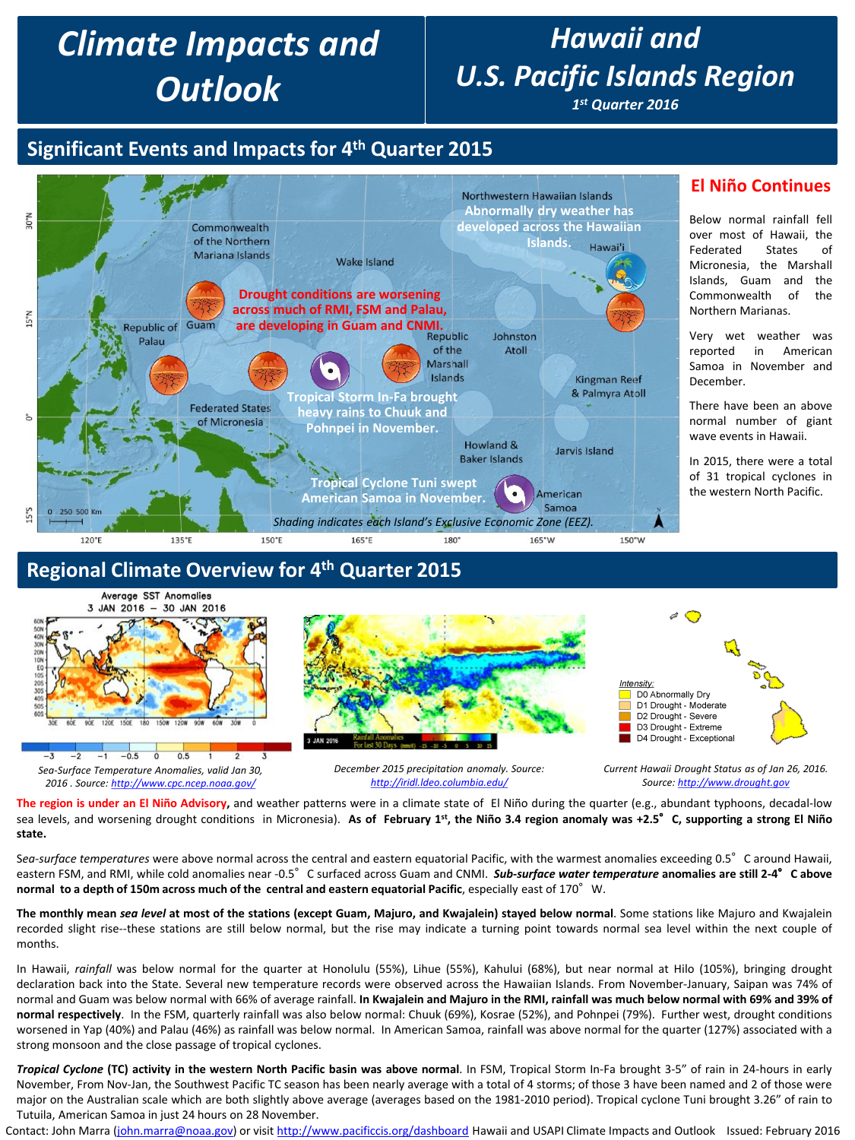# *Climate Impacts and Outlook*

# *Hawaii and U.S. Pacific Islands Region*

*1st Quarter 2016*

# **Significant Events and Impacts for 4th Quarter 2015**



### **Regional Climate Overview for 4th Quarter 2015**



**The region is under an El Niño Advisory,** and weather patterns were in a climate state of El Niño during the quarter (e.g., abundant typhoons, decadal-low sea levels, and worsening drought conditions in Micronesia). As of February 1st, the Niño 3.4 region anomaly was +2.5° C, supporting a strong El Niño **state.**

Sea-surface temperatures were above normal across the central and eastern equatorial Pacific, with the warmest anomalies exceeding 0.5° C around Hawaii, eastern FSM, and RMI, while cold anomalies near -0.5°C surfaced across Guam and CNMI. *Sub-surface water temperature* **anomalies are still 2-4**°**C above normal to a depth of 150m across much of the central and eastern equatorial Pacific**, especially east of 170°W.

The monthly mean sea level at most of the stations (except Guam, Majuro, and Kwajalein) stayed below normal. Some stations like Majuro and Kwajalein recorded slight rise--these stations are still below normal, but the rise may indicate a turning point towards normal sea level within the next couple of months.

In Hawaii, *rainfall* was below normal for the quarter at Honolulu (55%), Lihue (55%), Kahului (68%), but near normal at Hilo (105%), bringing drought declaration back into the State. Several new temperature records were observed across the Hawaiian Islands. From November-January, Saipan was 74% of normal and Guam was below normal with 66% of average rainfall. In Kwajalein and Majuro in the RMI, rainfall was much below normal with 69% and 39% of **normal respectively**. In the FSM, quarterly rainfall was also below normal: Chuuk (69%), Kosrae (52%), and Pohnpei (79%). Further west, drought conditions worsened in Yap (40%) and Palau (46%) as rainfall was below normal. In American Samoa, rainfall was above normal for the quarter (127%) associated with a strong monsoon and the close passage of tropical cyclones.

Tropical Cyclone (TC) activity in the western North Pacific basin was above normal. In FSM, Tropical Storm In-Fa brought 3-5" of rain in 24-hours in early November, From Nov-Jan, the Southwest Pacific TC season has been nearly average with a total of 4 storms; of those 3 have been named and 2 of those were major on the Australian scale which are both slightly above average (averages based on the 1981-2010 period). Tropical cyclone Tuni brought 3.26" of rain to Tutuila, American Samoa in just 24 hours on 28 November.

Contact: John Marra [\(john.marra@noaa.gov](mailto:john.marra@noaa.gov)) or visit <http://www.pacificcis.org/dashboard> Hawaii and USAPI Climate Impacts and Outlook Issued: February 2016

### **El Niño Continues**

Below normal rainfall fell over most of Hawaii, the Federated States of Micronesia, the Marshall Islands, Guam and the Commonwealth of the Northern Marianas.

Very wet weather was reported in American Samoa in November and December.

There have been an above normal number of giant wave events in Hawaii.

In 2015, there were a total of 31 tropical cyclones in the western North Pacific.